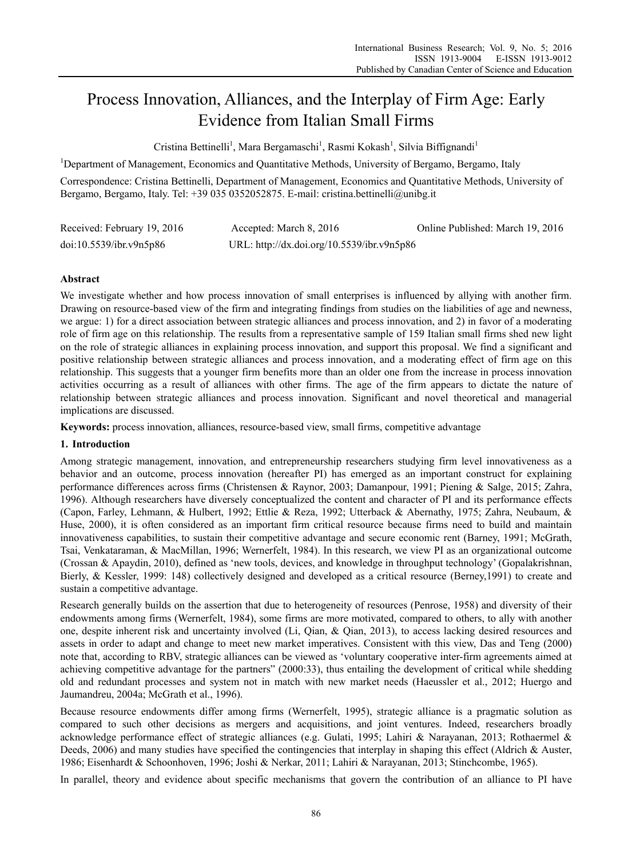# Process Innovation, Alliances, and the Interplay of Firm Age: Early Evidence from Italian Small Firms

Cristina Bettinelli<sup>1</sup>, Mara Bergamaschi<sup>1</sup>, Rasmi Kokash<sup>1</sup>, Silvia Biffignandi<sup>1</sup>

<sup>1</sup>Department of Management, Economics and Quantitative Methods, University of Bergamo, Bergamo, Italy

Correspondence: Cristina Bettinelli, Department of Management, Economics and Quantitative Methods, University of Bergamo, Bergamo, Italy. Tel: +39 035 0352052875. E-mail: cristina.bettinelli@unibg.it

| Received: February 19, 2016 | Accepted: March 8, 2016                    | Online Published: March 19, 2016 |
|-----------------------------|--------------------------------------------|----------------------------------|
| doi:10.5539/ibr.v9n5p86     | URL: http://dx.doi.org/10.5539/ibr.v9n5p86 |                                  |

# **Abstract**

We investigate whether and how process innovation of small enterprises is influenced by allying with another firm. Drawing on resource-based view of the firm and integrating findings from studies on the liabilities of age and newness, we argue: 1) for a direct association between strategic alliances and process innovation, and 2) in favor of a moderating role of firm age on this relationship. The results from a representative sample of 159 Italian small firms shed new light on the role of strategic alliances in explaining process innovation, and support this proposal. We find a significant and positive relationship between strategic alliances and process innovation, and a moderating effect of firm age on this relationship. This suggests that a younger firm benefits more than an older one from the increase in process innovation activities occurring as a result of alliances with other firms. The age of the firm appears to dictate the nature of relationship between strategic alliances and process innovation. Significant and novel theoretical and managerial implications are discussed.

**Keywords:** process innovation, alliances, resource-based view, small firms, competitive advantage

## **1. Introduction**

Among strategic management, innovation, and entrepreneurship researchers studying firm level innovativeness as a behavior and an outcome, process innovation (hereafter PI) has emerged as an important construct for explaining performance differences across firms (Christensen & Raynor, 2003; Damanpour, 1991; Piening & Salge, 2015; Zahra, 1996). Although researchers have diversely conceptualized the content and character of PI and its performance effects (Capon, Farley, Lehmann, & Hulbert, 1992; Ettlie & Reza, 1992; Utterback & Abernathy, 1975; Zahra, Neubaum, & Huse, 2000), it is often considered as an important firm critical resource because firms need to build and maintain innovativeness capabilities, to sustain their competitive advantage and secure economic rent (Barney, 1991; McGrath, Tsai, Venkataraman, & MacMillan, 1996; Wernerfelt, 1984). In this research, we view PI as an organizational outcome (Crossan & Apaydin, 2010), defined as 'new tools, devices, and knowledge in throughput technology' (Gopalakrishnan, Bierly, & Kessler, 1999: 148) collectively designed and developed as a critical resource (Berney,1991) to create and sustain a competitive advantage.

Research generally builds on the assertion that due to heterogeneity of resources (Penrose, 1958) and diversity of their endowments among firms (Wernerfelt, 1984), some firms are more motivated, compared to others, to ally with another one, despite inherent risk and uncertainty involved (Li, Qian, & Qian, 2013), to access lacking desired resources and assets in order to adapt and change to meet new market imperatives. Consistent with this view, Das and Teng (2000) note that, according to RBV, strategic alliances can be viewed as 'voluntary cooperative inter-firm agreements aimed at achieving competitive advantage for the partners" (2000:33), thus entailing the development of critical while shedding old and redundant processes and system not in match with new market needs (Haeussler et al., 2012; Huergo and Jaumandreu, 2004a; McGrath et al., 1996).

Because resource endowments differ among firms (Wernerfelt, 1995), strategic alliance is a pragmatic solution as compared to such other decisions as mergers and acquisitions, and joint ventures. Indeed, researchers broadly acknowledge performance effect of strategic alliances (e.g. Gulati, 1995; Lahiri & Narayanan, 2013; Rothaermel & Deeds, 2006) and many studies have specified the contingencies that interplay in shaping this effect (Aldrich & Auster, 1986; Eisenhardt & Schoonhoven, 1996; Joshi & Nerkar, 2011; Lahiri & Narayanan, 2013; Stinchcombe, 1965).

In parallel, theory and evidence about specific mechanisms that govern the contribution of an alliance to PI have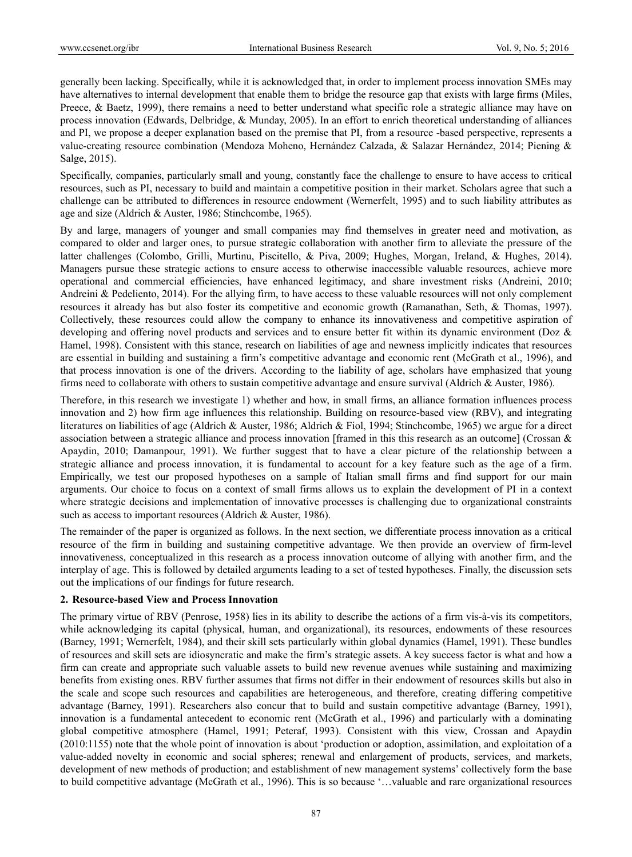generally been lacking. Specifically, while it is acknowledged that, in order to implement process innovation SMEs may have alternatives to internal development that enable them to bridge the resource gap that exists with large firms (Miles, Preece, & Baetz, 1999), there remains a need to better understand what specific role a strategic alliance may have on process innovation (Edwards, Delbridge, & Munday, 2005). In an effort to enrich theoretical understanding of alliances and PI, we propose a deeper explanation based on the premise that PI, from a resource -based perspective, represents a value-creating resource combination (Mendoza Moheno, Hernández Calzada, & Salazar Hernández, 2014; Piening & Salge, 2015).

Specifically, companies, particularly small and young, constantly face the challenge to ensure to have access to critical resources, such as PI, necessary to build and maintain a competitive position in their market. Scholars agree that such a challenge can be attributed to differences in resource endowment (Wernerfelt, 1995) and to such liability attributes as age and size (Aldrich & Auster, 1986; Stinchcombe, 1965).

By and large, managers of younger and small companies may find themselves in greater need and motivation, as compared to older and larger ones, to pursue strategic collaboration with another firm to alleviate the pressure of the latter challenges (Colombo, Grilli, Murtinu, Piscitello, & Piva, 2009; Hughes, Morgan, Ireland, & Hughes, 2014). Managers pursue these strategic actions to ensure access to otherwise inaccessible valuable resources, achieve more operational and commercial efficiencies, have enhanced legitimacy, and share investment risks (Andreini, 2010; Andreini & Pedeliento, 2014). For the allying firm, to have access to these valuable resources will not only complement resources it already has but also foster its competitive and economic growth (Ramanathan, Seth, & Thomas, 1997). Collectively, these resources could allow the company to enhance its innovativeness and competitive aspiration of developing and offering novel products and services and to ensure better fit within its dynamic environment (Doz & Hamel, 1998). Consistent with this stance, research on liabilities of age and newness implicitly indicates that resources are essential in building and sustaining a firm's competitive advantage and economic rent (McGrath et al., 1996), and that process innovation is one of the drivers. According to the liability of age, scholars have emphasized that young firms need to collaborate with others to sustain competitive advantage and ensure survival (Aldrich & Auster, 1986).

Therefore, in this research we investigate 1) whether and how, in small firms, an alliance formation influences process innovation and 2) how firm age influences this relationship. Building on resource-based view (RBV), and integrating literatures on liabilities of age (Aldrich & Auster, 1986; Aldrich & Fiol, 1994; Stinchcombe, 1965) we argue for a direct association between a strategic alliance and process innovation [framed in this this research as an outcome] (Crossan & Apaydin, 2010; Damanpour, 1991). We further suggest that to have a clear picture of the relationship between a strategic alliance and process innovation, it is fundamental to account for a key feature such as the age of a firm. Empirically, we test our proposed hypotheses on a sample of Italian small firms and find support for our main arguments. Our choice to focus on a context of small firms allows us to explain the development of PI in a context where strategic decisions and implementation of innovative processes is challenging due to organizational constraints such as access to important resources (Aldrich & Auster, 1986).

The remainder of the paper is organized as follows. In the next section, we differentiate process innovation as a critical resource of the firm in building and sustaining competitive advantage. We then provide an overview of firm-level innovativeness, conceptualized in this research as a process innovation outcome of allying with another firm, and the interplay of age. This is followed by detailed arguments leading to a set of tested hypotheses. Finally, the discussion sets out the implications of our findings for future research.

## **2. Resource-based View and Process Innovation**

The primary virtue of RBV (Penrose, 1958) lies in its ability to describe the actions of a firm vis-à-vis its competitors, while acknowledging its capital (physical, human, and organizational), its resources, endowments of these resources (Barney, 1991; Wernerfelt, 1984), and their skill sets particularly within global dynamics (Hamel, 1991). These bundles of resources and skill sets are idiosyncratic and make the firm's strategic assets. A key success factor is what and how a firm can create and appropriate such valuable assets to build new revenue avenues while sustaining and maximizing benefits from existing ones. RBV further assumes that firms not differ in their endowment of resources skills but also in the scale and scope such resources and capabilities are heterogeneous, and therefore, creating differing competitive advantage (Barney, 1991). Researchers also concur that to build and sustain competitive advantage (Barney, 1991), innovation is a fundamental antecedent to economic rent (McGrath et al., 1996) and particularly with a dominating global competitive atmosphere (Hamel, 1991; Peteraf, 1993). Consistent with this view, Crossan and Apaydin (2010:1155) note that the whole point of innovation is about 'production or adoption, assimilation, and exploitation of a value-added novelty in economic and social spheres; renewal and enlargement of products, services, and markets, development of new methods of production; and establishment of new management systems' collectively form the base to build competitive advantage (McGrath et al., 1996). This is so because '…valuable and rare organizational resources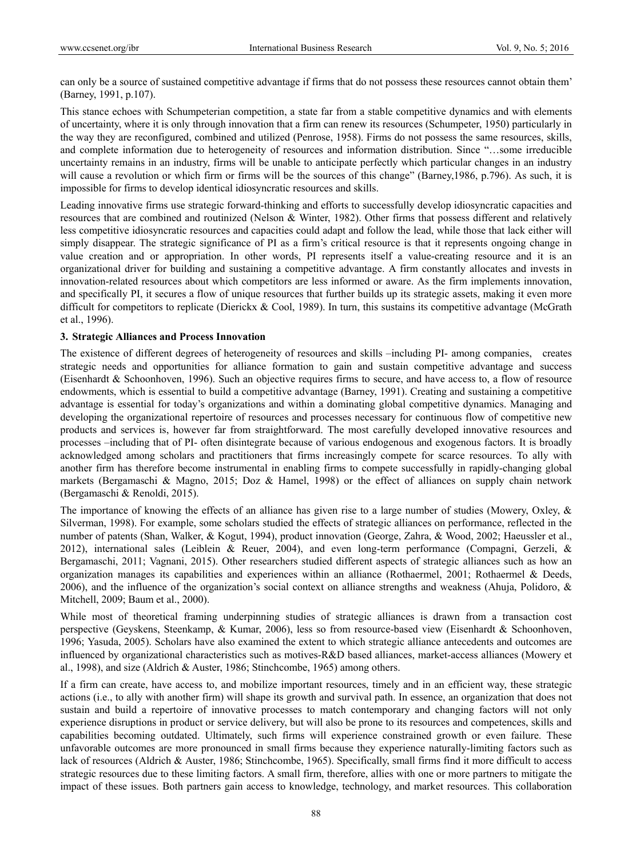can only be a source of sustained competitive advantage if firms that do not possess these resources cannot obtain them' (Barney, 1991, p.107).

This stance echoes with Schumpeterian competition, a state far from a stable competitive dynamics and with elements of uncertainty, where it is only through innovation that a firm can renew its resources (Schumpeter, 1950) particularly in the way they are reconfigured, combined and utilized (Penrose, 1958). Firms do not possess the same resources, skills, and complete information due to heterogeneity of resources and information distribution. Since "…some irreducible uncertainty remains in an industry, firms will be unable to anticipate perfectly which particular changes in an industry will cause a revolution or which firm or firms will be the sources of this change" (Barney, 1986, p.796). As such, it is impossible for firms to develop identical idiosyncratic resources and skills.

Leading innovative firms use strategic forward-thinking and efforts to successfully develop idiosyncratic capacities and resources that are combined and routinized (Nelson & Winter, 1982). Other firms that possess different and relatively less competitive idiosyncratic resources and capacities could adapt and follow the lead, while those that lack either will simply disappear. The strategic significance of PI as a firm's critical resource is that it represents ongoing change in value creation and or appropriation. In other words, PI represents itself a value-creating resource and it is an organizational driver for building and sustaining a competitive advantage. A firm constantly allocates and invests in innovation-related resources about which competitors are less informed or aware. As the firm implements innovation, and specifically PI, it secures a flow of unique resources that further builds up its strategic assets, making it even more difficult for competitors to replicate (Dierickx & Cool, 1989). In turn, this sustains its competitive advantage (McGrath et al., 1996).

# **3. Strategic Alliances and Process Innovation**

The existence of different degrees of heterogeneity of resources and skills –including PI- among companies, creates strategic needs and opportunities for alliance formation to gain and sustain competitive advantage and success (Eisenhardt & Schoonhoven, 1996). Such an objective requires firms to secure, and have access to, a flow of resource endowments, which is essential to build a competitive advantage (Barney, 1991). Creating and sustaining a competitive advantage is essential for today's organizations and within a dominating global competitive dynamics. Managing and developing the organizational repertoire of resources and processes necessary for continuous flow of competitive new products and services is, however far from straightforward. The most carefully developed innovative resources and processes –including that of PI- often disintegrate because of various endogenous and exogenous factors. It is broadly acknowledged among scholars and practitioners that firms increasingly compete for scarce resources. To ally with another firm has therefore become instrumental in enabling firms to compete successfully in rapidly-changing global markets (Bergamaschi & Magno, 2015; Doz & Hamel, 1998) or the effect of alliances on supply chain network (Bergamaschi & Renoldi, 2015).

The importance of knowing the effects of an alliance has given rise to a large number of studies (Mowery, Oxley, & Silverman, 1998). For example, some scholars studied the effects of strategic alliances on performance, reflected in the number of patents (Shan, Walker, & Kogut, 1994), product innovation (George, Zahra, & Wood, 2002; Haeussler et al., 2012), international sales (Leiblein & Reuer, 2004), and even long-term performance (Compagni, Gerzeli, & Bergamaschi, 2011; Vagnani, 2015). Other researchers studied different aspects of strategic alliances such as how an organization manages its capabilities and experiences within an alliance (Rothaermel, 2001; Rothaermel & Deeds, 2006), and the influence of the organization's social context on alliance strengths and weakness (Ahuja, Polidoro, & Mitchell, 2009; Baum et al., 2000).

While most of theoretical framing underpinning studies of strategic alliances is drawn from a transaction cost perspective (Geyskens, Steenkamp, & Kumar, 2006), less so from resource-based view (Eisenhardt & Schoonhoven, 1996; Yasuda, 2005). Scholars have also examined the extent to which strategic alliance antecedents and outcomes are influenced by organizational characteristics such as motives-R&D based alliances, market-access alliances (Mowery et al., 1998), and size (Aldrich & Auster, 1986; Stinchcombe, 1965) among others.

If a firm can create, have access to, and mobilize important resources, timely and in an efficient way, these strategic actions (i.e., to ally with another firm) will shape its growth and survival path. In essence, an organization that does not sustain and build a repertoire of innovative processes to match contemporary and changing factors will not only experience disruptions in product or service delivery, but will also be prone to its resources and competences, skills and capabilities becoming outdated. Ultimately, such firms will experience constrained growth or even failure. These unfavorable outcomes are more pronounced in small firms because they experience naturally-limiting factors such as lack of resources (Aldrich & Auster, 1986; Stinchcombe, 1965). Specifically, small firms find it more difficult to access strategic resources due to these limiting factors. A small firm, therefore, allies with one or more partners to mitigate the impact of these issues. Both partners gain access to knowledge, technology, and market resources. This collaboration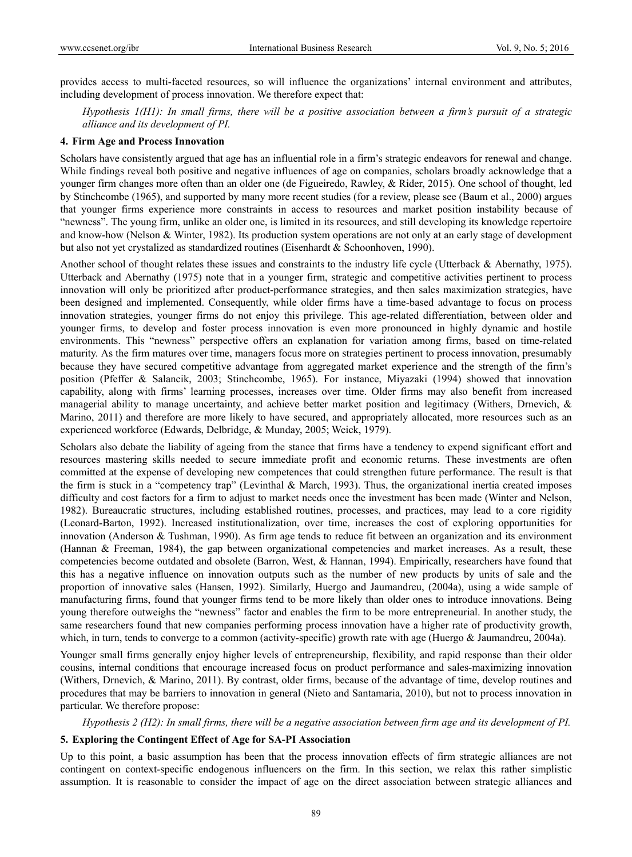provides access to multi-faceted resources, so will influence the organizations' internal environment and attributes, including development of process innovation. We therefore expect that:

*Hypothesis 1(H1): In small firms, there will be a positive association between a firm's pursuit of a strategic alliance and its development of PI.* 

#### **4. Firm Age and Process Innovation**

Scholars have consistently argued that age has an influential role in a firm's strategic endeavors for renewal and change. While findings reveal both positive and negative influences of age on companies, scholars broadly acknowledge that a younger firm changes more often than an older one (de Figueiredo, Rawley, & Rider, 2015). One school of thought, led by Stinchcombe (1965), and supported by many more recent studies (for a review, please see (Baum et al., 2000) argues that younger firms experience more constraints in access to resources and market position instability because of "newness". The young firm, unlike an older one, is limited in its resources, and still developing its knowledge repertoire and know-how (Nelson & Winter, 1982). Its production system operations are not only at an early stage of development but also not yet crystalized as standardized routines (Eisenhardt & Schoonhoven, 1990).

Another school of thought relates these issues and constraints to the industry life cycle (Utterback & Abernathy, 1975). Utterback and Abernathy (1975) note that in a younger firm, strategic and competitive activities pertinent to process innovation will only be prioritized after product-performance strategies, and then sales maximization strategies, have been designed and implemented. Consequently, while older firms have a time-based advantage to focus on process innovation strategies, younger firms do not enjoy this privilege. This age-related differentiation, between older and younger firms, to develop and foster process innovation is even more pronounced in highly dynamic and hostile environments. This "newness" perspective offers an explanation for variation among firms, based on time-related maturity. As the firm matures over time, managers focus more on strategies pertinent to process innovation, presumably because they have secured competitive advantage from aggregated market experience and the strength of the firm's position (Pfeffer & Salancik, 2003; Stinchcombe, 1965). For instance, Miyazaki (1994) showed that innovation capability, along with firms' learning processes, increases over time. Older firms may also benefit from increased managerial ability to manage uncertainty, and achieve better market position and legitimacy (Withers, Drnevich, & Marino, 2011) and therefore are more likely to have secured, and appropriately allocated, more resources such as an experienced workforce (Edwards, Delbridge, & Munday, 2005; Weick, 1979).

Scholars also debate the liability of ageing from the stance that firms have a tendency to expend significant effort and resources mastering skills needed to secure immediate profit and economic returns. These investments are often committed at the expense of developing new competences that could strengthen future performance. The result is that the firm is stuck in a "competency trap" (Levinthal & March, 1993). Thus, the organizational inertia created imposes difficulty and cost factors for a firm to adjust to market needs once the investment has been made (Winter and Nelson, 1982). Bureaucratic structures, including established routines, processes, and practices, may lead to a core rigidity (Leonard-Barton, 1992). Increased institutionalization, over time, increases the cost of exploring opportunities for innovation (Anderson & Tushman, 1990). As firm age tends to reduce fit between an organization and its environment (Hannan & Freeman, 1984), the gap between organizational competencies and market increases. As a result, these competencies become outdated and obsolete (Barron, West, & Hannan, 1994). Empirically, researchers have found that this has a negative influence on innovation outputs such as the number of new products by units of sale and the proportion of innovative sales (Hansen, 1992). Similarly, Huergo and Jaumandreu, (2004a), using a wide sample of manufacturing firms, found that younger firms tend to be more likely than older ones to introduce innovations. Being young therefore outweighs the "newness" factor and enables the firm to be more entrepreneurial. In another study, the same researchers found that new companies performing process innovation have a higher rate of productivity growth, which, in turn, tends to converge to a common (activity-specific) growth rate with age (Huergo & Jaumandreu, 2004a).

Younger small firms generally enjoy higher levels of entrepreneurship, flexibility, and rapid response than their older cousins, internal conditions that encourage increased focus on product performance and sales-maximizing innovation (Withers, Drnevich, & Marino, 2011). By contrast, older firms, because of the advantage of time, develop routines and procedures that may be barriers to innovation in general (Nieto and Santamaria, 2010), but not to process innovation in particular. We therefore propose:

*Hypothesis 2 (H2): In small firms, there will be a negative association between firm age and its development of PI.* 

## **5. Exploring the Contingent Effect of Age for SA-PI Association**

Up to this point, a basic assumption has been that the process innovation effects of firm strategic alliances are not contingent on context-specific endogenous influencers on the firm. In this section, we relax this rather simplistic assumption. It is reasonable to consider the impact of age on the direct association between strategic alliances and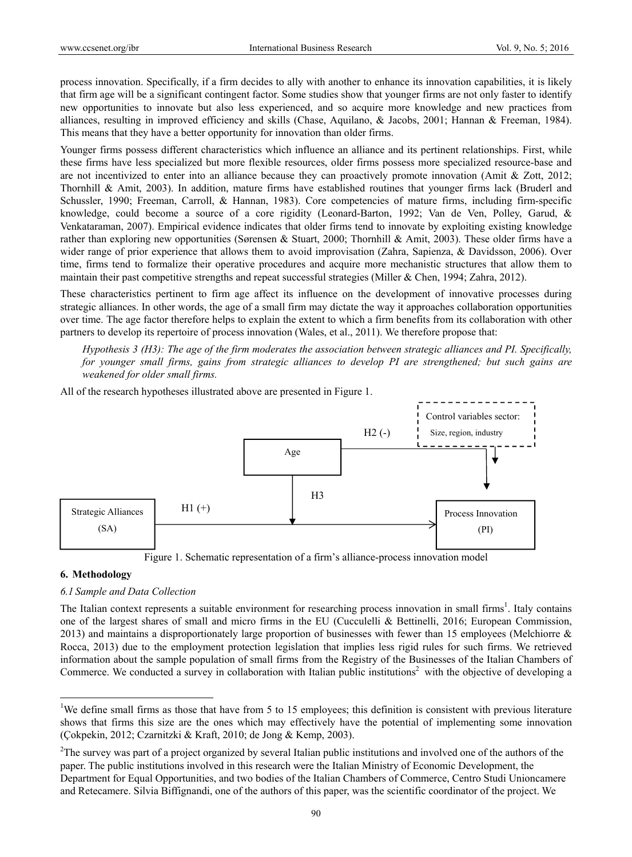process innovation. Specifically, if a firm decides to ally with another to enhance its innovation capabilities, it is likely that firm age will be a significant contingent factor. Some studies show that younger firms are not only faster to identify new opportunities to innovate but also less experienced, and so acquire more knowledge and new practices from alliances, resulting in improved efficiency and skills (Chase, Aquilano, & Jacobs, 2001; Hannan & Freeman, 1984). This means that they have a better opportunity for innovation than older firms.

Younger firms possess different characteristics which influence an alliance and its pertinent relationships. First, while these firms have less specialized but more flexible resources, older firms possess more specialized resource-base and are not incentivized to enter into an alliance because they can proactively promote innovation (Amit & Zott, 2012; Thornhill & Amit, 2003). In addition, mature firms have established routines that younger firms lack (Bruderl and Schussler, 1990; Freeman, Carroll, & Hannan, 1983). Core competencies of mature firms, including firm-specific knowledge, could become a source of a core rigidity (Leonard-Barton, 1992; Van de Ven, Polley, Garud, & Venkataraman, 2007). Empirical evidence indicates that older firms tend to innovate by exploiting existing knowledge rather than exploring new opportunities (Sørensen & Stuart, 2000; Thornhill & Amit, 2003). These older firms have a wider range of prior experience that allows them to avoid improvisation (Zahra, Sapienza, & Davidsson, 2006). Over time, firms tend to formalize their operative procedures and acquire more mechanistic structures that allow them to maintain their past competitive strengths and repeat successful strategies (Miller & Chen, 1994; Zahra, 2012).

These characteristics pertinent to firm age affect its influence on the development of innovative processes during strategic alliances. In other words, the age of a small firm may dictate the way it approaches collaboration opportunities over time. The age factor therefore helps to explain the extent to which a firm benefits from its collaboration with other partners to develop its repertoire of process innovation (Wales, et al., 2011). We therefore propose that:

*Hypothesis 3 (H3): The age of the firm moderates the association between strategic alliances and PI. Specifically, for younger small firms, gains from strategic alliances to develop PI are strengthened; but such gains are weakened for older small firms.* 

All of the research hypotheses illustrated above are presented in Figure 1.



Figure 1. Schematic representation of a firm's alliance-process innovation model

# **6. Methodology**

 $\overline{a}$ 

## *6.1 Sample and Data Collection*

The Italian context represents a suitable environment for researching process innovation in small firms<sup>1</sup>. Italy contains one of the largest shares of small and micro firms in the EU (Cucculelli & Bettinelli, 2016; European Commission, 2013) and maintains a disproportionately large proportion of businesses with fewer than 15 employees (Melchiorre & Rocca, 2013) due to the employment protection legislation that implies less rigid rules for such firms. We retrieved information about the sample population of small firms from the Registry of the Businesses of the Italian Chambers of Commerce. We conducted a survey in collaboration with Italian public institutions<sup>2</sup> with the objective of developing a

<sup>&</sup>lt;sup>1</sup>We define small firms as those that have from 5 to 15 employees; this definition is consistent with previous literature shows that firms this size are the ones which may effectively have the potential of implementing some innovation (Çokpekin, 2012; Czarnitzki & Kraft, 2010; de Jong & Kemp, 2003).

 $2^2$ The survey was part of a project organized by several Italian public institutions and involved one of the authors of the paper. The public institutions involved in this research were the Italian Ministry of Economic Development, the Department for Equal Opportunities, and two bodies of the Italian Chambers of Commerce, Centro Studi Unioncamere and Retecamere. Silvia Biffignandi, one of the authors of this paper, was the scientific coordinator of the project. We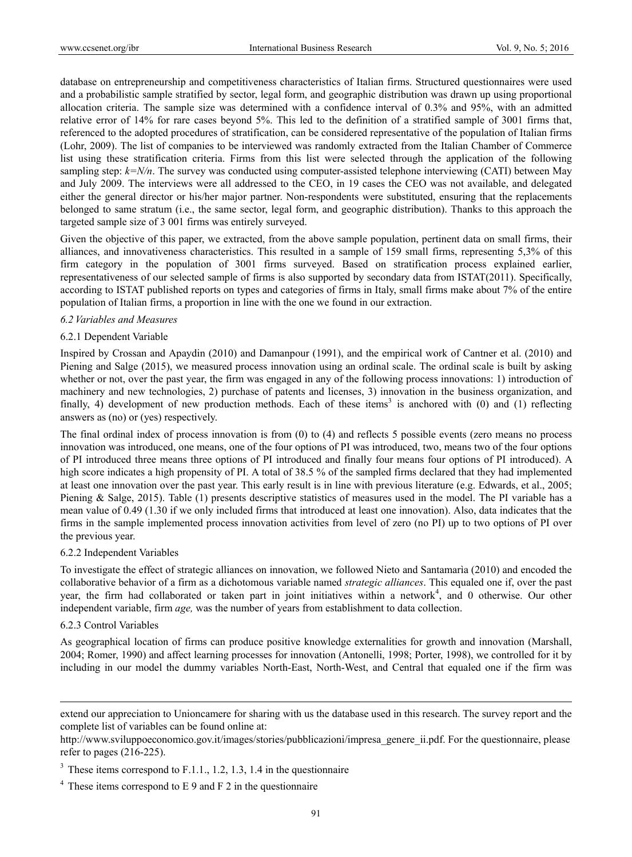database on entrepreneurship and competitiveness characteristics of Italian firms. Structured questionnaires were used and a probabilistic sample stratified by sector, legal form, and geographic distribution was drawn up using proportional allocation criteria. The sample size was determined with a confidence interval of 0.3% and 95%, with an admitted relative error of 14% for rare cases beyond 5%. This led to the definition of a stratified sample of 3001 firms that, referenced to the adopted procedures of stratification, can be considered representative of the population of Italian firms (Lohr, 2009). The list of companies to be interviewed was randomly extracted from the Italian Chamber of Commerce list using these stratification criteria. Firms from this list were selected through the application of the following sampling step:  $k=N/n$ . The survey was conducted using computer-assisted telephone interviewing (CATI) between May and July 2009. The interviews were all addressed to the CEO, in 19 cases the CEO was not available, and delegated either the general director or his/her major partner. Non-respondents were substituted, ensuring that the replacements belonged to same stratum (i.e., the same sector, legal form, and geographic distribution). Thanks to this approach the targeted sample size of 3 001 firms was entirely surveyed.

Given the objective of this paper, we extracted, from the above sample population, pertinent data on small firms, their alliances, and innovativeness characteristics. This resulted in a sample of 159 small firms, representing 5,3% of this firm category in the population of 3001 firms surveyed. Based on stratification process explained earlier, representativeness of our selected sample of firms is also supported by secondary data from ISTAT(2011). Specifically, according to ISTAT published reports on types and categories of firms in Italy, small firms make about 7% of the entire population of Italian firms, a proportion in line with the one we found in our extraction.

#### *6.2 Variables and Measures*

#### 6.2.1 Dependent Variable

Inspired by Crossan and Apaydin (2010) and Damanpour (1991), and the empirical work of Cantner et al. (2010) and Piening and Salge (2015), we measured process innovation using an ordinal scale. The ordinal scale is built by asking whether or not, over the past year, the firm was engaged in any of the following process innovations: 1) introduction of machinery and new technologies, 2) purchase of patents and licenses, 3) innovation in the business organization, and finally, 4) development of new production methods. Each of these items<sup>3</sup> is anchored with (0) and (1) reflecting answers as (no) or (yes) respectively.

The final ordinal index of process innovation is from (0) to (4) and reflects 5 possible events (zero means no process innovation was introduced, one means, one of the four options of PI was introduced, two, means two of the four options of PI introduced three means three options of PI introduced and finally four means four options of PI introduced). A high score indicates a high propensity of PI. A total of 38.5 % of the sampled firms declared that they had implemented at least one innovation over the past year. This early result is in line with previous literature (e.g. Edwards, et al., 2005; Piening & Salge, 2015). Table (1) presents descriptive statistics of measures used in the model. The PI variable has a mean value of 0.49 (1.30 if we only included firms that introduced at least one innovation). Also, data indicates that the firms in the sample implemented process innovation activities from level of zero (no PI) up to two options of PI over the previous year.

#### 6.2.2 Independent Variables

To investigate the effect of strategic alliances on innovation, we followed Nieto and Santamarìa (2010) and encoded the collaborative behavior of a firm as a dichotomous variable named *strategic alliances*. This equaled one if, over the past year, the firm had collaborated or taken part in joint initiatives within a network<sup>4</sup>, and 0 otherwise. Our other independent variable, firm *age,* was the number of years from establishment to data collection.

## 6.2.3 Control Variables

 $\overline{a}$ 

As geographical location of firms can produce positive knowledge externalities for growth and innovation (Marshall, 2004; Romer, 1990) and affect learning processes for innovation (Antonelli, 1998; Porter, 1998), we controlled for it by including in our model the dummy variables North-East, North-West, and Central that equaled one if the firm was

extend our appreciation to Unioncamere for sharing with us the database used in this research. The survey report and the complete list of variables can be found online at:

http://www.sviluppoeconomico.gov.it/images/stories/pubblicazioni/impresa\_genere\_ii.pdf. For the questionnaire, please refer to pages (216-225).

 $3$  These items correspond to F.1.1., 1.2, 1.3, 1.4 in the questionnaire

 $4$  These items correspond to E 9 and F 2 in the questionnaire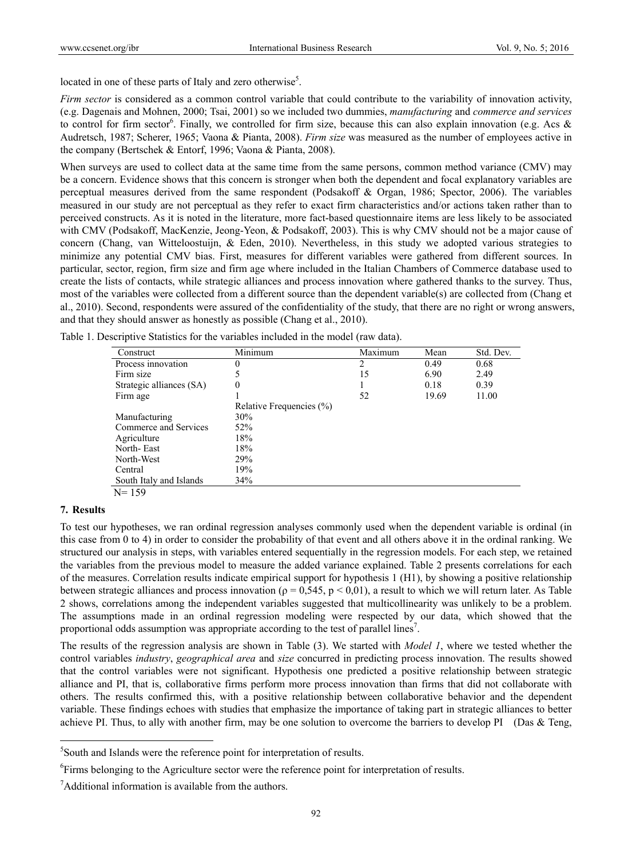located in one of these parts of Italy and zero otherwise<sup>5</sup>.

*Firm sector* is considered as a common control variable that could contribute to the variability of innovation activity, (e.g. Dagenais and Mohnen, 2000; Tsai, 2001) so we included two dummies, *manufacturing* and *commerce and services* to control for firm sector<sup>6</sup>. Finally, we controlled for firm size, because this can also explain innovation (e.g. Acs  $\&$ Audretsch, 1987; Scherer, 1965; Vaona & Pianta, 2008). *Firm size* was measured as the number of employees active in the company (Bertschek & Entorf, 1996; Vaona & Pianta, 2008).

When surveys are used to collect data at the same time from the same persons, common method variance (CMV) may be a concern. Evidence shows that this concern is stronger when both the dependent and focal explanatory variables are perceptual measures derived from the same respondent (Podsakoff & Organ, 1986; Spector, 2006). The variables measured in our study are not perceptual as they refer to exact firm characteristics and/or actions taken rather than to perceived constructs. As it is noted in the literature, more fact-based questionnaire items are less likely to be associated with CMV (Podsakoff, MacKenzie, Jeong-Yeon, & Podsakoff, 2003). This is why CMV should not be a major cause of concern (Chang, van Witteloostuijn, & Eden, 2010). Nevertheless, in this study we adopted various strategies to minimize any potential CMV bias. First, measures for different variables were gathered from different sources. In particular, sector, region, firm size and firm age where included in the Italian Chambers of Commerce database used to create the lists of contacts, while strategic alliances and process innovation where gathered thanks to the survey. Thus, most of the variables were collected from a different source than the dependent variable(s) are collected from (Chang et al., 2010). Second, respondents were assured of the confidentiality of the study, that there are no right or wrong answers, and that they should answer as honestly as possible (Chang et al., 2010).

| Construct                | Minimum                  | Maximum | Mean  | Std. Dev. |
|--------------------------|--------------------------|---------|-------|-----------|
| Process innovation       | O                        | 2       | 0.49  | 0.68      |
| Firm size                |                          | 15      | 6.90  | 2.49      |
| Strategic alliances (SA) | 0                        |         | 0.18  | 0.39      |
| Firm age                 |                          | 52      | 19.69 | 11.00     |
|                          | Relative Frequencies (%) |         |       |           |
| Manufacturing            | 30%                      |         |       |           |
| Commerce and Services    | 52%                      |         |       |           |
| Agriculture              | 18%                      |         |       |           |
| North-East               | 18%                      |         |       |           |
| North-West               | 29%                      |         |       |           |
| Central                  | 19%                      |         |       |           |
| South Italy and Islands  | 34%                      |         |       |           |
| $N = 159$                |                          |         |       |           |

Table 1. Descriptive Statistics for the variables included in the model (raw data).

#### **7. Results**

 $\overline{a}$ 

To test our hypotheses, we ran ordinal regression analyses commonly used when the dependent variable is ordinal (in this case from 0 to 4) in order to consider the probability of that event and all others above it in the ordinal ranking. We structured our analysis in steps, with variables entered sequentially in the regression models. For each step, we retained the variables from the previous model to measure the added variance explained. Table 2 presents correlations for each of the measures. Correlation results indicate empirical support for hypothesis 1 (H1), by showing a positive relationship between strategic alliances and process innovation ( $\rho = 0.545$ ,  $p < 0.01$ ), a result to which we will return later. As Table 2 shows, correlations among the independent variables suggested that multicollinearity was unlikely to be a problem. The assumptions made in an ordinal regression modeling were respected by our data, which showed that the proportional odds assumption was appropriate according to the test of parallel lines<sup>7</sup>.

The results of the regression analysis are shown in Table (3). We started with *Model 1*, where we tested whether the control variables *industry*, *geographical area* and *size* concurred in predicting process innovation. The results showed that the control variables were not significant. Hypothesis one predicted a positive relationship between strategic alliance and PI, that is, collaborative firms perform more process innovation than firms that did not collaborate with others. The results confirmed this, with a positive relationship between collaborative behavior and the dependent variable. These findings echoes with studies that emphasize the importance of taking part in strategic alliances to better achieve PI. Thus, to ally with another firm, may be one solution to overcome the barriers to develop PI (Das & Teng,

<sup>5</sup> South and Islands were the reference point for interpretation of results.

<sup>&</sup>lt;sup>6</sup>Firms belonging to the Agriculture sector were the reference point for interpretation of results.

<sup>&</sup>lt;sup>7</sup>Additional information is available from the authors.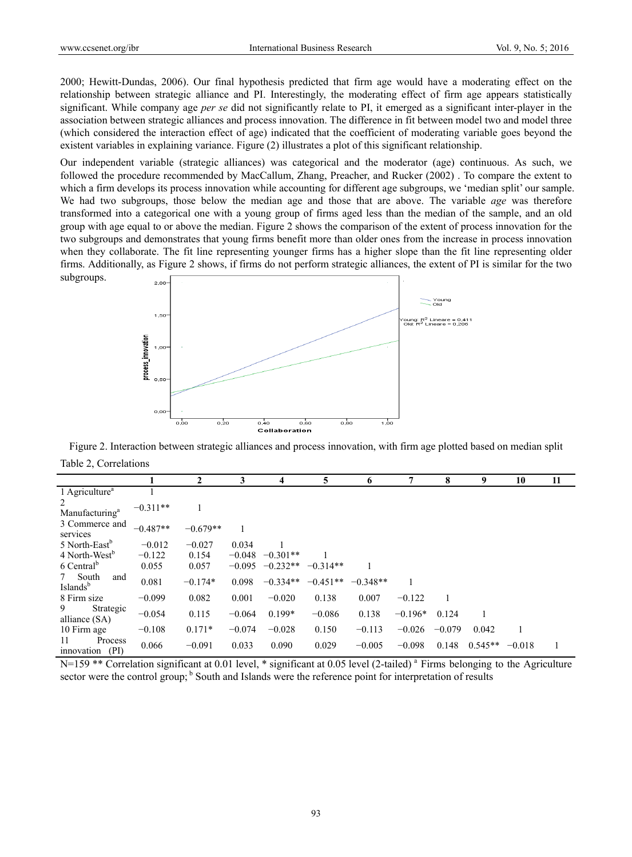2000; Hewitt-Dundas, 2006). Our final hypothesis predicted that firm age would have a moderating effect on the relationship between strategic alliance and PI. Interestingly, the moderating effect of firm age appears statistically significant. While company age *per se* did not significantly relate to PI, it emerged as a significant inter-player in the association between strategic alliances and process innovation. The difference in fit between model two and model three (which considered the interaction effect of age) indicated that the coefficient of moderating variable goes beyond the existent variables in explaining variance. Figure (2) illustrates a plot of this significant relationship.

Our independent variable (strategic alliances) was categorical and the moderator (age) continuous. As such, we followed the procedure recommended by MacCallum, Zhang, Preacher, and Rucker (2002) . To compare the extent to which a firm develops its process innovation while accounting for different age subgroups, we 'median split' our sample. We had two subgroups, those below the median age and those that are above. The variable *age* was therefore transformed into a categorical one with a young group of firms aged less than the median of the sample, and an old group with age equal to or above the median. Figure 2 shows the comparison of the extent of process innovation for the two subgroups and demonstrates that young firms benefit more than older ones from the increase in process innovation when they collaborate. The fit line representing younger firms has a higher slope than the fit line representing older firms. Additionally, as Figure 2 shows, if firms do not perform strategic alliances, the extent of PI is similar for the two subgroups.



Figure 2. Interaction between strategic alliances and process innovation, with firm age plotted based on median split Table 2, Correlations

|                                           |            | $\mathbf{2}$ | 3        | 4          | 5          | 6          |           | 8        | 9         | 10       | 11 |
|-------------------------------------------|------------|--------------|----------|------------|------------|------------|-----------|----------|-----------|----------|----|
| 1 Agriculture <sup>a</sup>                |            |              |          |            |            |            |           |          |           |          |    |
| 2<br>Manufacturing <sup>a</sup>           | $-0.311**$ |              |          |            |            |            |           |          |           |          |    |
| 3 Commerce and<br>services                | $-0.487**$ | $-0.679**$   |          |            |            |            |           |          |           |          |    |
| 5 North-East <sup>b</sup>                 | $-0.012$   | $-0.027$     | 0.034    |            |            |            |           |          |           |          |    |
| 4 North-West <sup>b</sup>                 | $-0.122$   | 0.154        | $-0.048$ | $-0.301**$ |            |            |           |          |           |          |    |
| 6 Central <sup>b</sup>                    | 0.055      | 0.057        | $-0.095$ | $-0.232**$ | $-0.314**$ |            |           |          |           |          |    |
| South<br>7<br>and<br>Islands <sup>b</sup> | 0.081      | $-0.174*$    | 0.098    | $-0.334**$ | $-0.451**$ | $-0.348**$ |           |          |           |          |    |
| 8 Firm size                               | $-0.099$   | 0.082        | 0.001    | $-0.020$   | 0.138      | 0.007      | $-0.122$  |          |           |          |    |
| 9<br>Strategic<br>alliance (SA)           | $-0.054$   | 0.115        | $-0.064$ | $0.199*$   | $-0.086$   | 0.138      | $-0.196*$ | 0.124    |           |          |    |
| 10 Firm age                               | $-0.108$   | $0.171*$     | $-0.074$ | $-0.028$   | 0.150      | $-0.113$   | $-0.026$  | $-0.079$ | 0.042     |          |    |
| Process<br>11<br>innovation (PI)          | 0.066      | $-0.091$     | 0.033    | 0.090      | 0.029      | $-0.005$   | $-0.098$  | 0.148    | $0.545**$ | $-0.018$ |    |

N=159 \*\* Correlation significant at 0.01 level, \* significant at 0.05 level (2-tailed)<sup>a</sup> Firms belonging to the Agriculture sector were the control group; <sup>b</sup> South and Islands were the reference point for interpretation of results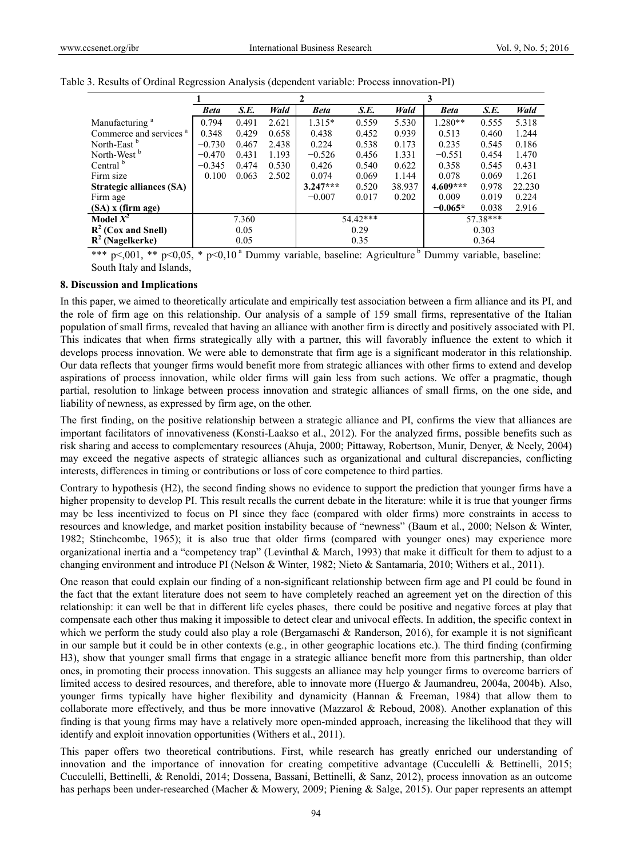|                                    | <b>Beta</b> | S.E.  | Wald  | <b>Beta</b>   | S.E.            | Wald  | <b>Beta</b> | S.E.  | Wald   |
|------------------------------------|-------------|-------|-------|---------------|-----------------|-------|-------------|-------|--------|
| Manufacturing <sup>a</sup>         | 0.794       | 0.491 | 2.621 | $1.315*$      | 0.559           | 5.530 | $1.280**$   | 0.555 | 5.318  |
| Commerce and services <sup>a</sup> | 0.348       | 0.429 | 0.658 | 0.438         | 0.452           | 0.939 | 0.513       | 0.460 | 1.244  |
| North-East <sup>b</sup>            | $-0.730$    | 0.467 | 2.438 | 0.224         | 0.538           | 0.173 | 0.235       | 0.545 | 0.186  |
| North-West <sup>b</sup>            | $-0.470$    | 0.431 | 1.193 | $-0.526$      | 0.456           | 1.331 | $-0.551$    | 0.454 | 1.470  |
| Central <sup>b</sup>               | $-0.345$    | 0.474 | 0.530 | 0.426         | 0.540           | 0.622 | 0.358       | 0.545 | 0.431  |
| Firm size                          | 0.100       | 0.063 | 2.502 | 0.074         | 0.069           | 1.144 | 0.078       | 0.069 | 1.261  |
| <b>Strategic alliances (SA)</b>    |             |       |       | $3.247***$    | 0.520<br>38.937 |       | $4.609***$  | 0.978 | 22.230 |
| Firm age                           |             |       |       | $-0.007$      | 0.017           | 0.202 | 0.009       | 0.019 | 0.224  |
| (SA) x (firm age)                  |             |       |       |               |                 |       | $-0.065*$   | 0.038 | 2.916  |
| Model $X^2$                        | 7.360       |       |       | 54.42***      |                 |       | 57.38***    |       |        |
| $R^2$ (Cox and Snell)              | 0.05        |       |       | 0.29          |                 |       | 0.303       |       |        |
| $R^2$ (Nagelkerke)                 |             | 0.05  |       | 0.35<br>0.364 |                 |       |             |       |        |

Table 3. Results of Ordinal Regression Analysis (dependent variable: Process innovation-PI)

\*\*\* p<,001, \*\* p<0,05, \* p<0,10<sup> $\alpha$ </sup> Dummy variable, baseline: Agriculture <sup>b</sup> Dummy variable, baseline: South Italy and Islands,

#### **8. Discussion and Implications**

In this paper, we aimed to theoretically articulate and empirically test association between a firm alliance and its PI, and the role of firm age on this relationship. Our analysis of a sample of 159 small firms, representative of the Italian population of small firms, revealed that having an alliance with another firm is directly and positively associated with PI. This indicates that when firms strategically ally with a partner, this will favorably influence the extent to which it develops process innovation. We were able to demonstrate that firm age is a significant moderator in this relationship. Our data reflects that younger firms would benefit more from strategic alliances with other firms to extend and develop aspirations of process innovation, while older firms will gain less from such actions. We offer a pragmatic, though partial, resolution to linkage between process innovation and strategic alliances of small firms, on the one side, and liability of newness, as expressed by firm age, on the other.

The first finding, on the positive relationship between a strategic alliance and PI, confirms the view that alliances are important facilitators of innovativeness (Konsti-Laakso et al., 2012). For the analyzed firms, possible benefits such as risk sharing and access to complementary resources (Ahuja, 2000; Pittaway, Robertson, Munir, Denyer, & Neely, 2004) may exceed the negative aspects of strategic alliances such as organizational and cultural discrepancies, conflicting interests, differences in timing or contributions or loss of core competence to third parties.

Contrary to hypothesis (H2), the second finding shows no evidence to support the prediction that younger firms have a higher propensity to develop PI. This result recalls the current debate in the literature: while it is true that younger firms may be less incentivized to focus on PI since they face (compared with older firms) more constraints in access to resources and knowledge, and market position instability because of "newness" (Baum et al., 2000; Nelson & Winter, 1982; Stinchcombe, 1965); it is also true that older firms (compared with younger ones) may experience more organizational inertia and a "competency trap" (Levinthal & March, 1993) that make it difficult for them to adjust to a changing environment and introduce PI (Nelson & Winter, 1982; Nieto & Santamaría, 2010; Withers et al., 2011).

One reason that could explain our finding of a non-significant relationship between firm age and PI could be found in the fact that the extant literature does not seem to have completely reached an agreement yet on the direction of this relationship: it can well be that in different life cycles phases, there could be positive and negative forces at play that compensate each other thus making it impossible to detect clear and univocal effects. In addition, the specific context in which we perform the study could also play a role (Bergamaschi & Randerson, 2016), for example it is not significant in our sample but it could be in other contexts (e.g., in other geographic locations etc.). The third finding (confirming H3), show that younger small firms that engage in a strategic alliance benefit more from this partnership, than older ones, in promoting their process innovation. This suggests an alliance may help younger firms to overcome barriers of limited access to desired resources, and therefore, able to innovate more (Huergo & Jaumandreu, 2004a, 2004b). Also, younger firms typically have higher flexibility and dynamicity (Hannan & Freeman, 1984) that allow them to collaborate more effectively, and thus be more innovative (Mazzarol & Reboud, 2008). Another explanation of this finding is that young firms may have a relatively more open-minded approach, increasing the likelihood that they will identify and exploit innovation opportunities (Withers et al., 2011).

This paper offers two theoretical contributions. First, while research has greatly enriched our understanding of innovation and the importance of innovation for creating competitive advantage (Cucculelli & Bettinelli, 2015; Cucculelli, Bettinelli, & Renoldi, 2014; Dossena, Bassani, Bettinelli, & Sanz, 2012), process innovation as an outcome has perhaps been under-researched (Macher & Mowery, 2009; Piening & Salge, 2015). Our paper represents an attempt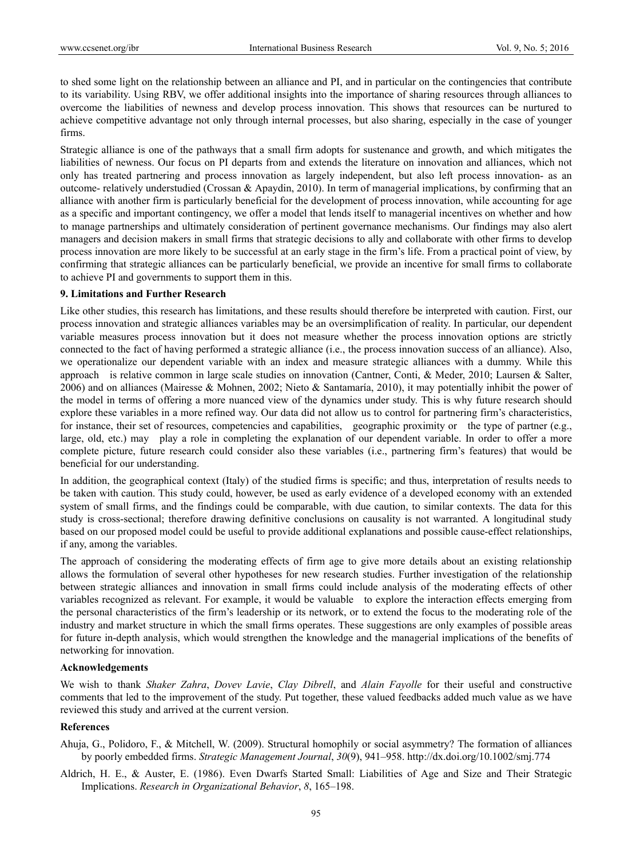to shed some light on the relationship between an alliance and PI, and in particular on the contingencies that contribute to its variability. Using RBV, we offer additional insights into the importance of sharing resources through alliances to overcome the liabilities of newness and develop process innovation. This shows that resources can be nurtured to achieve competitive advantage not only through internal processes, but also sharing, especially in the case of younger firms.

Strategic alliance is one of the pathways that a small firm adopts for sustenance and growth, and which mitigates the liabilities of newness. Our focus on PI departs from and extends the literature on innovation and alliances, which not only has treated partnering and process innovation as largely independent, but also left process innovation- as an outcome- relatively understudied (Crossan & Apaydin, 2010). In term of managerial implications, by confirming that an alliance with another firm is particularly beneficial for the development of process innovation, while accounting for age as a specific and important contingency, we offer a model that lends itself to managerial incentives on whether and how to manage partnerships and ultimately consideration of pertinent governance mechanisms. Our findings may also alert managers and decision makers in small firms that strategic decisions to ally and collaborate with other firms to develop process innovation are more likely to be successful at an early stage in the firm's life. From a practical point of view, by confirming that strategic alliances can be particularly beneficial, we provide an incentive for small firms to collaborate to achieve PI and governments to support them in this.

#### **9. Limitations and Further Research**

Like other studies, this research has limitations, and these results should therefore be interpreted with caution. First, our process innovation and strategic alliances variables may be an oversimplification of reality. In particular, our dependent variable measures process innovation but it does not measure whether the process innovation options are strictly connected to the fact of having performed a strategic alliance (i.e., the process innovation success of an alliance). Also, we operationalize our dependent variable with an index and measure strategic alliances with a dummy. While this approach is relative common in large scale studies on innovation (Cantner, Conti, & Meder, 2010; Laursen & Salter, 2006) and on alliances (Mairesse & Mohnen, 2002; Nieto & Santamaría, 2010), it may potentially inhibit the power of the model in terms of offering a more nuanced view of the dynamics under study. This is why future research should explore these variables in a more refined way. Our data did not allow us to control for partnering firm's characteristics, for instance, their set of resources, competencies and capabilities, geographic proximity or the type of partner (e.g., large, old, etc.) may play a role in completing the explanation of our dependent variable. In order to offer a more complete picture, future research could consider also these variables (i.e., partnering firm's features) that would be beneficial for our understanding.

In addition, the geographical context (Italy) of the studied firms is specific; and thus, interpretation of results needs to be taken with caution. This study could, however, be used as early evidence of a developed economy with an extended system of small firms, and the findings could be comparable, with due caution, to similar contexts. The data for this study is cross-sectional; therefore drawing definitive conclusions on causality is not warranted. A longitudinal study based on our proposed model could be useful to provide additional explanations and possible cause-effect relationships, if any, among the variables.

The approach of considering the moderating effects of firm age to give more details about an existing relationship allows the formulation of several other hypotheses for new research studies. Further investigation of the relationship between strategic alliances and innovation in small firms could include analysis of the moderating effects of other variables recognized as relevant. For example, it would be valuable to explore the interaction effects emerging from the personal characteristics of the firm's leadership or its network, or to extend the focus to the moderating role of the industry and market structure in which the small firms operates. These suggestions are only examples of possible areas for future in-depth analysis, which would strengthen the knowledge and the managerial implications of the benefits of networking for innovation.

#### **Acknowledgements**

We wish to thank *Shaker Zahra*, *Dovev Lavie*, *Clay Dibrell*, and *Alain Fayolle* for their useful and constructive comments that led to the improvement of the study. Put together, these valued feedbacks added much value as we have reviewed this study and arrived at the current version.

#### **References**

- Ahuja, G., Polidoro, F., & Mitchell, W. (2009). Structural homophily or social asymmetry? The formation of alliances by poorly embedded firms. *Strategic Management Journal*, *30*(9), 941–958. http://dx.doi.org/10.1002/smj.774
- Aldrich, H. E., & Auster, E. (1986). Even Dwarfs Started Small: Liabilities of Age and Size and Their Strategic Implications. *Research in Organizational Behavior*, *8*, 165–198.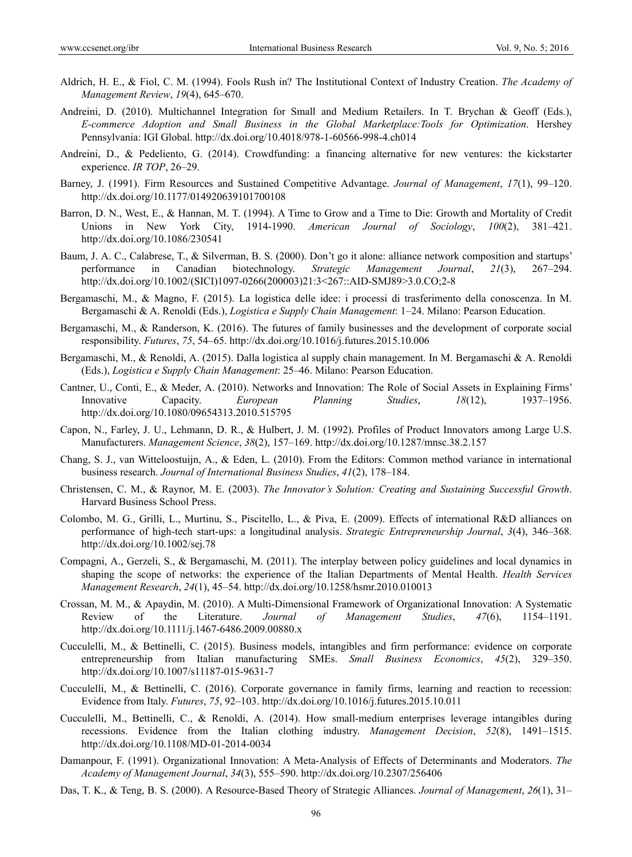- Aldrich, H. E., & Fiol, C. M. (1994). Fools Rush in? The Institutional Context of Industry Creation. *The Academy of Management Review*, *19*(4), 645–670.
- Andreini, D. (2010). Multichannel Integration for Small and Medium Retailers. In T. Brychan & Geoff (Eds.), *E-commerce Adoption and Small Business in the Global Marketplace:Tools for Optimization*. Hershey Pennsylvania: IGI Global. http://dx.doi.org/10.4018/978-1-60566-998-4.ch014
- Andreini, D., & Pedeliento, G. (2014). Crowdfunding: a financing alternative for new ventures: the kickstarter experience. *IR TOP*, 26–29.
- Barney, J. (1991). Firm Resources and Sustained Competitive Advantage. *Journal of Management*, *17*(1), 99–120. http://dx.doi.org/10.1177/014920639101700108
- Barron, D. N., West, E., & Hannan, M. T. (1994). A Time to Grow and a Time to Die: Growth and Mortality of Credit Unions in New York City, 1914-1990. *American Journal of Sociology*, *100*(2), 381–421. http://dx.doi.org/10.1086/230541
- Baum, J. A. C., Calabrese, T., & Silverman, B. S. (2000). Don't go it alone: alliance network composition and startups' performance in Canadian biotechnology. *Strategic Management Journal*, *21*(3), 267–294. http://dx.doi.org/10.1002/(SICI)1097-0266(200003)21:3<267::AID-SMJ89>3.0.CO;2-8
- Bergamaschi, M., & Magno, F. (2015). La logistica delle idee: i processi di trasferimento della conoscenza. In M. Bergamaschi & A. Renoldi (Eds.), *Logistica e Supply Chain Management*: 1–24. Milano: Pearson Education.
- Bergamaschi, M., & Randerson, K. (2016). The futures of family businesses and the development of corporate social responsibility. *Futures*, *75*, 54–65. http://dx.doi.org/10.1016/j.futures.2015.10.006
- Bergamaschi, M., & Renoldi, A. (2015). Dalla logistica al supply chain management. In M. Bergamaschi & A. Renoldi (Eds.), *Logistica e Supply Chain Management*: 25–46. Milano: Pearson Education.
- Cantner, U., Conti, E., & Meder, A. (2010). Networks and Innovation: The Role of Social Assets in Explaining Firms' Innovative Capacity. *European Planning Studies*, *18*(12), 1937–1956. http://dx.doi.org/10.1080/09654313.2010.515795
- Capon, N., Farley, J. U., Lehmann, D. R., & Hulbert, J. M. (1992). Profiles of Product Innovators among Large U.S. Manufacturers. *Management Science*, *38*(2), 157–169. http://dx.doi.org/10.1287/mnsc.38.2.157
- Chang, S. J., van Witteloostuijn, A., & Eden, L. (2010). From the Editors: Common method variance in international business research. *Journal of International Business Studies*, *41*(2), 178–184.
- Christensen, C. M., & Raynor, M. E. (2003). *The Innovator's Solution: Creating and Sustaining Successful Growth*. Harvard Business School Press.
- Colombo, M. G., Grilli, L., Murtinu, S., Piscitello, L., & Piva, E. (2009). Effects of international R&D alliances on performance of high-tech start-ups: a longitudinal analysis. *Strategic Entrepreneurship Journal*, *3*(4), 346–368. http://dx.doi.org/10.1002/sej.78
- Compagni, A., Gerzeli, S., & Bergamaschi, M. (2011). The interplay between policy guidelines and local dynamics in shaping the scope of networks: the experience of the Italian Departments of Mental Health. *Health Services Management Research*, *24*(1), 45–54. http://dx.doi.org/10.1258/hsmr.2010.010013
- Crossan, M. M., & Apaydin, M. (2010). A Multi-Dimensional Framework of Organizational Innovation: A Systematic Review of the Literature. *Journal of Management Studies*, *47*(6), 1154–1191. http://dx.doi.org/10.1111/j.1467-6486.2009.00880.x
- Cucculelli, M., & Bettinelli, C. (2015). Business models, intangibles and firm performance: evidence on corporate entrepreneurship from Italian manufacturing SMEs. *Small Business Economics*, *45*(2), 329–350. http://dx.doi.org/10.1007/s11187-015-9631-7
- Cucculelli, M., & Bettinelli, C. (2016). Corporate governance in family firms, learning and reaction to recession: Evidence from Italy. *Futures*, *75*, 92–103. http://dx.doi.org/10.1016/j.futures.2015.10.011
- Cucculelli, M., Bettinelli, C., & Renoldi, A. (2014). How small-medium enterprises leverage intangibles during recessions. Evidence from the Italian clothing industry. *Management Decision*, *52*(8), 1491–1515. http://dx.doi.org/10.1108/MD-01-2014-0034
- Damanpour, F. (1991). Organizational Innovation: A Meta-Analysis of Effects of Determinants and Moderators. *The Academy of Management Journal*, *34*(3), 555–590. http://dx.doi.org/10.2307/256406
- Das, T. K., & Teng, B. S. (2000). A Resource-Based Theory of Strategic Alliances. *Journal of Management*, *26*(1), 31–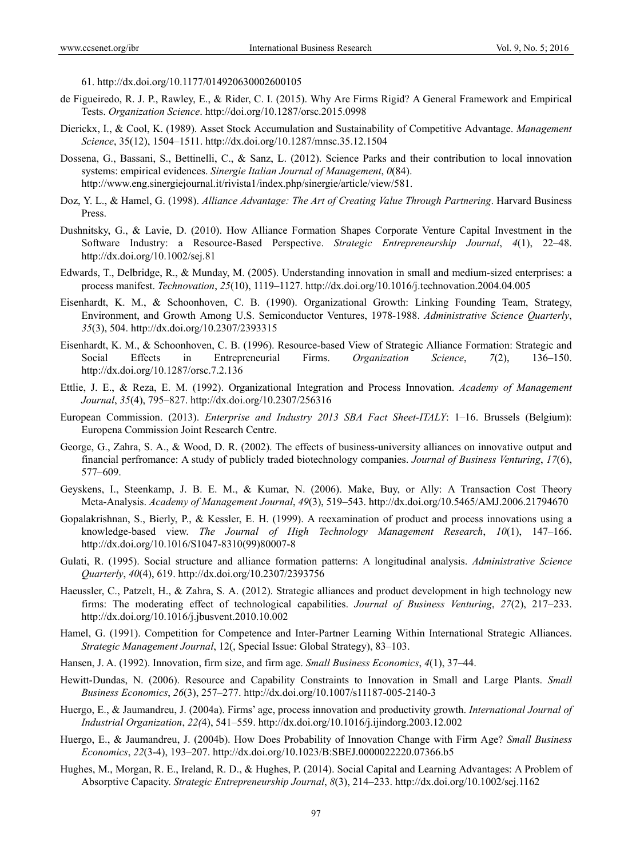61. http://dx.doi.org/10.1177/014920630002600105

- de Figueiredo, R. J. P., Rawley, E., & Rider, C. I. (2015). Why Are Firms Rigid? A General Framework and Empirical Tests. *Organization Science*. http://doi.org/10.1287/orsc.2015.0998
- Dierickx, I., & Cool, K. (1989). Asset Stock Accumulation and Sustainability of Competitive Advantage. *Management Science*, 35(12), 1504–1511. http://dx.doi.org/10.1287/mnsc.35.12.1504
- Dossena, G., Bassani, S., Bettinelli, C., & Sanz, L. (2012). Science Parks and their contribution to local innovation systems: empirical evidences. *Sinergie Italian Journal of Management*, *0*(84). http://www.eng.sinergiejournal.it/rivista1/index.php/sinergie/article/view/581.
- Doz, Y. L., & Hamel, G. (1998). *Alliance Advantage: The Art of Creating Value Through Partnering*. Harvard Business Press.
- Dushnitsky, G., & Lavie, D. (2010). How Alliance Formation Shapes Corporate Venture Capital Investment in the Software Industry: a Resource-Based Perspective. *Strategic Entrepreneurship Journal*, *4*(1), 22–48. http://dx.doi.org/10.1002/sej.81
- Edwards, T., Delbridge, R., & Munday, M. (2005). Understanding innovation in small and medium-sized enterprises: a process manifest. *Technovation*, *25*(10), 1119–1127. http://dx.doi.org/10.1016/j.technovation.2004.04.005
- Eisenhardt, K. M., & Schoonhoven, C. B. (1990). Organizational Growth: Linking Founding Team, Strategy, Environment, and Growth Among U.S. Semiconductor Ventures, 1978-1988. *Administrative Science Quarterly*, *35*(3), 504. http://dx.doi.org/10.2307/2393315
- Eisenhardt, K. M., & Schoonhoven, C. B. (1996). Resource-based View of Strategic Alliance Formation: Strategic and Social Effects in Entrepreneurial Firms. *Organization Science*, *7*(2), 136–150. http://dx.doi.org/10.1287/orsc.7.2.136
- Ettlie, J. E., & Reza, E. M. (1992). Organizational Integration and Process Innovation. *Academy of Management Journal*, *35*(4), 795–827. http://dx.doi.org/10.2307/256316
- European Commission. (2013). *Enterprise and Industry 2013 SBA Fact Sheet-ITALY*: 1–16. Brussels (Belgium): Europena Commission Joint Research Centre.
- George, G., Zahra, S. A., & Wood, D. R. (2002). The effects of business-university alliances on innovative output and financial perfromance: A study of publicly traded biotechnology companies. *Journal of Business Venturing*, *17*(6), 577–609.
- Geyskens, I., Steenkamp, J. B. E. M., & Kumar, N. (2006). Make, Buy, or Ally: A Transaction Cost Theory Meta-Analysis. *Academy of Management Journal*, *49*(3), 519–543. http://dx.doi.org/10.5465/AMJ.2006.21794670
- Gopalakrishnan, S., Bierly, P., & Kessler, E. H. (1999). A reexamination of product and process innovations using a knowledge-based view. *The Journal of High Technology Management Research*, *10*(1), 147–166. http://dx.doi.org/10.1016/S1047-8310(99)80007-8
- Gulati, R. (1995). Social structure and alliance formation patterns: A longitudinal analysis. *Administrative Science Quarterly*, *40*(4), 619. http://dx.doi.org/10.2307/2393756
- Haeussler, C., Patzelt, H., & Zahra, S. A. (2012). Strategic alliances and product development in high technology new firms: The moderating effect of technological capabilities. *Journal of Business Venturing*, *27*(2), 217–233. http://dx.doi.org/10.1016/j.jbusvent.2010.10.002
- Hamel, G. (1991). Competition for Competence and Inter-Partner Learning Within International Strategic Alliances. *Strategic Management Journal*, 12(, Special Issue: Global Strategy), 83–103.
- Hansen, J. A. (1992). Innovation, firm size, and firm age. *Small Business Economics*, *4*(1), 37–44.
- Hewitt-Dundas, N. (2006). Resource and Capability Constraints to Innovation in Small and Large Plants. *Small Business Economics*, *26*(3), 257–277. http://dx.doi.org/10.1007/s11187-005-2140-3
- Huergo, E., & Jaumandreu, J. (2004a). Firms' age, process innovation and productivity growth. *International Journal of Industrial Organization*, *22(*4), 541–559. http://dx.doi.org/10.1016/j.ijindorg.2003.12.002
- Huergo, E., & Jaumandreu, J. (2004b). How Does Probability of Innovation Change with Firm Age? *Small Business Economics*, *22*(3-4), 193–207. http://dx.doi.org/10.1023/B:SBEJ.0000022220.07366.b5
- Hughes, M., Morgan, R. E., Ireland, R. D., & Hughes, P. (2014). Social Capital and Learning Advantages: A Problem of Absorptive Capacity. *Strategic Entrepreneurship Journal*, *8*(3), 214–233. http://dx.doi.org/10.1002/sej.1162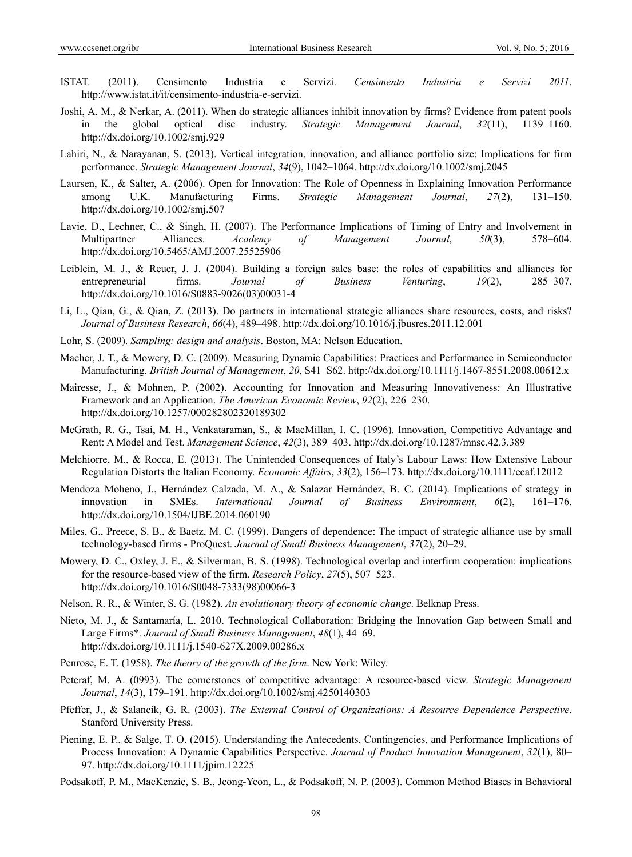- ISTAT. (2011). Censimento Industria e Servizi. *Censimento Industria e Servizi 2011*. http://www.istat.it/it/censimento-industria-e-servizi.
- Joshi, A. M., & Nerkar, A. (2011). When do strategic alliances inhibit innovation by firms? Evidence from patent pools in the global optical disc industry. *Strategic Management Journal*, *32*(11), 1139–1160. http://dx.doi.org/10.1002/smj.929
- Lahiri, N., & Narayanan, S. (2013). Vertical integration, innovation, and alliance portfolio size: Implications for firm performance. *Strategic Management Journal*, *34*(9), 1042–1064. http://dx.doi.org/10.1002/smj.2045
- Laursen, K., & Salter, A. (2006). Open for Innovation: The Role of Openness in Explaining Innovation Performance among U.K. Manufacturing Firms. *Strategic Management Journal*, *27*(2), 131–150. http://dx.doi.org/10.1002/smj.507
- Lavie, D., Lechner, C., & Singh, H. (2007). The Performance Implications of Timing of Entry and Involvement in Multipartner Alliances. *Academy of Management Journal*, *50*(3), 578–604. http://dx.doi.org/10.5465/AMJ.2007.25525906
- Leiblein, M. J., & Reuer, J. J. (2004). Building a foreign sales base: the roles of capabilities and alliances for entrepreneurial firms. *Journal of Business Venturing*, *19*(2), 285–307. http://dx.doi.org/10.1016/S0883-9026(03)00031-4
- Li, L., Qian, G., & Qian, Z. (2013). Do partners in international strategic alliances share resources, costs, and risks? *Journal of Business Research*, *66*(4), 489–498. http://dx.doi.org/10.1016/j.jbusres.2011.12.001
- Lohr, S. (2009). *Sampling: design and analysis*. Boston, MA: Nelson Education.
- Macher, J. T., & Mowery, D. C. (2009). Measuring Dynamic Capabilities: Practices and Performance in Semiconductor Manufacturing. *British Journal of Management*, *20*, S41–S62. http://dx.doi.org/10.1111/j.1467-8551.2008.00612.x
- Mairesse, J., & Mohnen, P. (2002). Accounting for Innovation and Measuring Innovativeness: An Illustrative Framework and an Application. *The American Economic Review*, *92*(2), 226–230. http://dx.doi.org/10.1257/000282802320189302
- McGrath, R. G., Tsai, M. H., Venkataraman, S., & MacMillan, I. C. (1996). Innovation, Competitive Advantage and Rent: A Model and Test. *Management Science*, *42*(3), 389–403. http://dx.doi.org/10.1287/mnsc.42.3.389
- Melchiorre, M., & Rocca, E. (2013). The Unintended Consequences of Italy's Labour Laws: How Extensive Labour Regulation Distorts the Italian Economy. *Economic Affairs*, *33*(2), 156–173. http://dx.doi.org/10.1111/ecaf.12012
- Mendoza Moheno, J., Hernández Calzada, M. A., & Salazar Hernández, B. C. (2014). Implications of strategy in innovation in SMEs. *International Journal of Business Environment*, *6*(2), 161–176. http://dx.doi.org/10.1504/IJBE.2014.060190
- Miles, G., Preece, S. B., & Baetz, M. C. (1999). Dangers of dependence: The impact of strategic alliance use by small technology-based firms - ProQuest. *Journal of Small Business Management*, *37*(2), 20–29.
- Mowery, D. C., Oxley, J. E., & Silverman, B. S. (1998). Technological overlap and interfirm cooperation: implications for the resource-based view of the firm. *Research Policy*, *27*(5), 507–523. http://dx.doi.org/10.1016/S0048-7333(98)00066-3
- Nelson, R. R., & Winter, S. G. (1982). *An evolutionary theory of economic change*. Belknap Press.
- Nieto, M. J., & Santamaría, L. 2010. Technological Collaboration: Bridging the Innovation Gap between Small and Large Firms\*. *Journal of Small Business Management*, *48*(1), 44–69. http://dx.doi.org/10.1111/j.1540-627X.2009.00286.x
- Penrose, E. T. (1958). *The theory of the growth of the firm*. New York: Wiley.
- Peteraf, M. A. (0993). The cornerstones of competitive advantage: A resource-based view. *Strategic Management Journal*, *14*(3), 179–191. http://dx.doi.org/10.1002/smj.4250140303
- Pfeffer, J., & Salancik, G. R. (2003). *The External Control of Organizations: A Resource Dependence Perspective*. Stanford University Press.
- Piening, E. P., & Salge, T. O. (2015). Understanding the Antecedents, Contingencies, and Performance Implications of Process Innovation: A Dynamic Capabilities Perspective. *Journal of Product Innovation Management*, *32*(1), 80– 97. http://dx.doi.org/10.1111/jpim.12225
- Podsakoff, P. M., MacKenzie, S. B., Jeong-Yeon, L., & Podsakoff, N. P. (2003). Common Method Biases in Behavioral